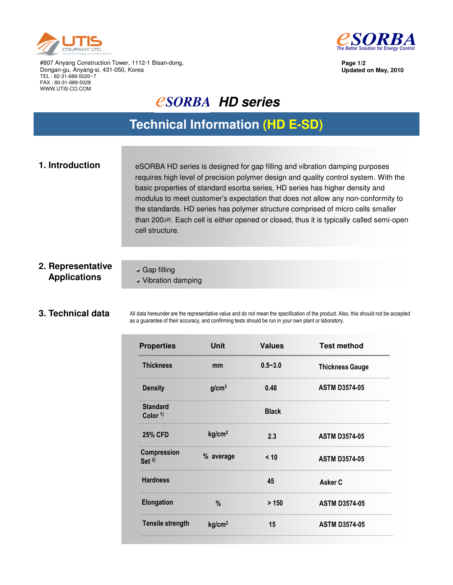



**Page 1/2 Updated on May, 2010**

#807 Anyang Construction Tower, 1112-1 Bisan-dong, Dongan-gu, Anyang-si, 431-050, Korea TEL : 82-31-689-5020~7 FAX : 80-31-689-5028 WWW.UTIS-CO.COM

# *<u>CSORBA HD series</u>*

## **Technical Information (HD E-SD)**

**1. Introduction** eSORBA HD series is designed for gap filling and vibration damping purposes requires high level of precision polymer design and quality control system. With the basic properties of standard esorba series, HD series has higher density and modulus to meet customer's expectation that does not allow any non-conformity to the standards. HD series has polymer structure comprised of micro cells smaller than 200 $\mu$ m. Each cell is either opened or closed, thus it is typically called semi-open cell structure.

### **2. Representative Applications**

Gap filling Vibration damping

#### **3. Technical data**

All data hereunder are the representative value and do not mean the specification of the product. Also, this should not be accepted as a guarantee of their accuracy, and confirming tests should be run in your own plant or laboratory.

| <b>Properties</b>              | Unit               | <b>Values</b> | <b>Test method</b>     |
|--------------------------------|--------------------|---------------|------------------------|
| <b>Thickness</b>               | mm                 | $0.5 - 3.0$   | <b>Thickness Gauge</b> |
| <b>Density</b>                 | g/cm <sup>3</sup>  | 0.48          | <b>ASTM D3574-05</b>   |
| <b>Standard</b><br>Color $1$ ) |                    | <b>Black</b>  |                        |
| <b>25% CFD</b>                 | kg/cm <sup>2</sup> | 2.3           | <b>ASTM D3574-05</b>   |
| Compression<br>Set $2)$        | % average          | < 10          | <b>ASTM D3574-05</b>   |
| <b>Hardness</b>                |                    | 45            | Asker C                |
| <b>Elongation</b>              | $\%$               | > 150         | <b>ASTM D3574-05</b>   |
| <b>Tensile strength</b>        | kg/cm <sup>2</sup> | 15            | <b>ASTM D3574-05</b>   |